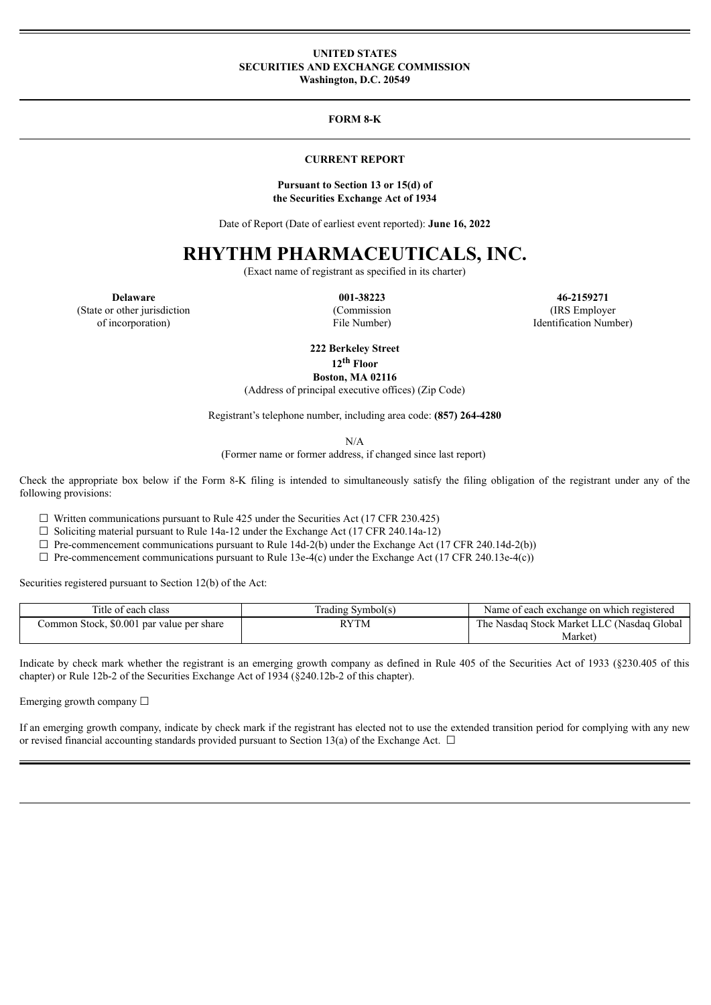### **UNITED STATES SECURITIES AND EXCHANGE COMMISSION Washington, D.C. 20549**

### **FORM 8-K**

### **CURRENT REPORT**

#### **Pursuant to Section 13 or 15(d) of the Securities Exchange Act of 1934**

Date of Report (Date of earliest event reported): **June 16, 2022**

# **RHYTHM PHARMACEUTICALS, INC.**

(Exact name of registrant as specified in its charter)

(State or other jurisdiction

of incorporation)

(Commission

File Number)

**Delaware 001-38223 46-2159271** (IRS Employer Identification Number)

**222 Berkeley Street**

**12 th Floor**

**Boston, MA 02116**

(Address of principal executive offices) (Zip Code)

Registrant's telephone number, including area code: **(857) 264-4280**

N/A

(Former name or former address, if changed since last report)

Check the appropriate box below if the Form 8-K filing is intended to simultaneously satisfy the filing obligation of the registrant under any of the following provisions:

 $\Box$  Written communications pursuant to Rule 425 under the Securities Act (17 CFR 230.425)

 $\Box$  Soliciting material pursuant to Rule 14a-12 under the Exchange Act (17 CFR 240.14a-12)

 $\Box$  Pre-commencement communications pursuant to Rule 14d-2(b) under the Exchange Act (17 CFR 240.14d-2(b))

 $\Box$  Pre-commencement communications pursuant to Rule 13e-4(c) under the Exchange Act (17 CFR 240.13e-4(c))

Securities registered pursuant to Section 12(b) of the Act:

| Title of each class                       | Trading Symbol(s) | Name of each exchange on which registered  |
|-------------------------------------------|-------------------|--------------------------------------------|
| Common Stock, \$0.001 par value per share | <b>RYTM</b>       | The Nasdaq Stock Market LLC (Nasdaq Global |
|                                           |                   | Market)                                    |

Indicate by check mark whether the registrant is an emerging growth company as defined in Rule 405 of the Securities Act of 1933 (§230.405 of this chapter) or Rule 12b-2 of the Securities Exchange Act of 1934 (§240.12b-2 of this chapter).

Emerging growth company  $\Box$ 

If an emerging growth company, indicate by check mark if the registrant has elected not to use the extended transition period for complying with any new or revised financial accounting standards provided pursuant to Section 13(a) of the Exchange Act.  $\Box$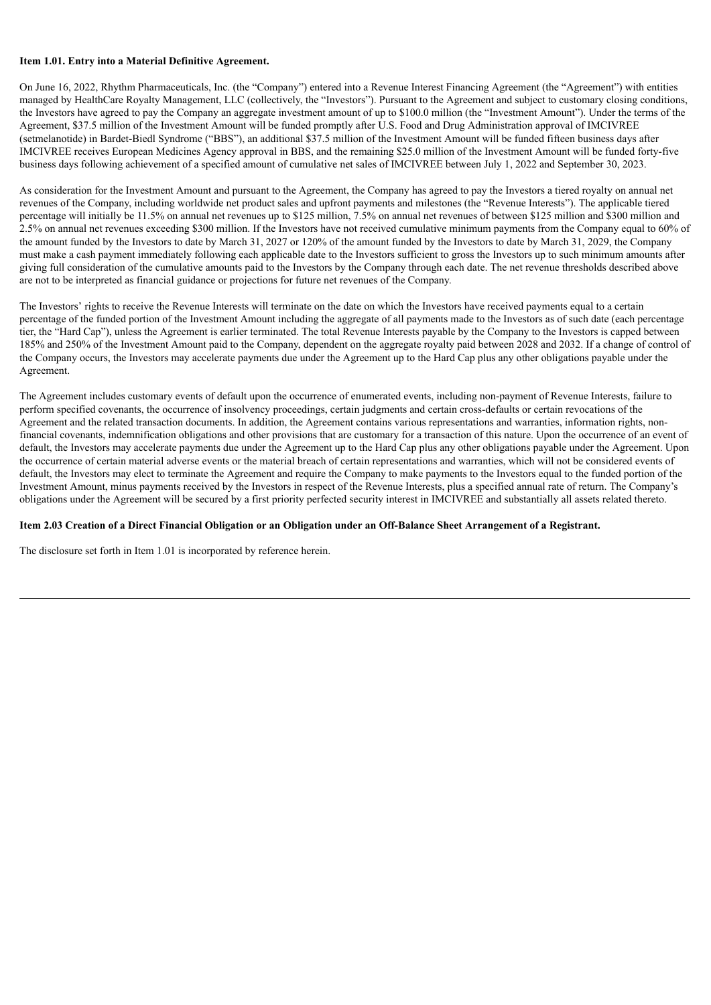### **Item 1.01. Entry into a Material Definitive Agreement.**

On June 16, 2022, Rhythm Pharmaceuticals, Inc. (the "Company") entered into a Revenue Interest Financing Agreement (the "Agreement") with entities managed by HealthCare Royalty Management, LLC (collectively, the "Investors"). Pursuant to the Agreement and subject to customary closing conditions, the Investors have agreed to pay the Company an aggregate investment amount of up to \$100.0 million (the "Investment Amount"). Under the terms of the Agreement, \$37.5 million of the Investment Amount will be funded promptly after U.S. Food and Drug Administration approval of IMCIVREE (setmelanotide) in Bardet-Biedl Syndrome ("BBS"), an additional \$37.5 million of the Investment Amount will be funded fifteen business days after IMCIVREE receives European Medicines Agency approval in BBS, and the remaining \$25.0 million of the Investment Amount will be funded forty-five business days following achievement of a specified amount of cumulative net sales of IMCIVREE between July 1, 2022 and September 30, 2023.

As consideration for the Investment Amount and pursuant to the Agreement, the Company has agreed to pay the Investors a tiered royalty on annual net revenues of the Company, including worldwide net product sales and upfront payments and milestones (the "Revenue Interests"). The applicable tiered percentage will initially be 11.5% on annual net revenues up to \$125 million, 7.5% on annual net revenues of between \$125 million and \$300 million and 2.5% on annual net revenues exceeding \$300 million. If the Investors have not received cumulative minimum payments from the Company equal to 60% of the amount funded by the Investors to date by March 31, 2027 or 120% of the amount funded by the Investors to date by March 31, 2029, the Company must make a cash payment immediately following each applicable date to the Investors sufficient to gross the Investors up to such minimum amounts after giving full consideration of the cumulative amounts paid to the Investors by the Company through each date. The net revenue thresholds described above are not to be interpreted as financial guidance or projections for future net revenues of the Company.

The Investors' rights to receive the Revenue Interests will terminate on the date on which the Investors have received payments equal to a certain percentage of the funded portion of the Investment Amount including the aggregate of all payments made to the Investors as of such date (each percentage tier, the "Hard Cap"), unless the Agreement is earlier terminated. The total Revenue Interests payable by the Company to the Investors is capped between 185% and 250% of the Investment Amount paid to the Company, dependent on the aggregate royalty paid between 2028 and 2032. If a change of control of the Company occurs, the Investors may accelerate payments due under the Agreement up to the Hard Cap plus any other obligations payable under the Agreement.

The Agreement includes customary events of default upon the occurrence of enumerated events, including non-payment of Revenue Interests, failure to perform specified covenants, the occurrence of insolvency proceedings, certain judgments and certain cross-defaults or certain revocations of the Agreement and the related transaction documents. In addition, the Agreement contains various representations and warranties, information rights, nonfinancial covenants, indemnification obligations and other provisions that are customary for a transaction of this nature. Upon the occurrence of an event of default, the Investors may accelerate payments due under the Agreement up to the Hard Cap plus any other obligations payable under the Agreement. Upon the occurrence of certain material adverse events or the material breach of certain representations and warranties, which will not be considered events of default, the Investors may elect to terminate the Agreement and require the Company to make payments to the Investors equal to the funded portion of the Investment Amount, minus payments received by the Investors in respect of the Revenue Interests, plus a specified annual rate of return. The Company's obligations under the Agreement will be secured by a first priority perfected security interest in IMCIVREE and substantially all assets related thereto.

### Item 2.03 Creation of a Direct Financial Obligation or an Obligation under an Off-Balance Sheet Arrangement of a Registrant.

The disclosure set forth in Item 1.01 is incorporated by reference herein.